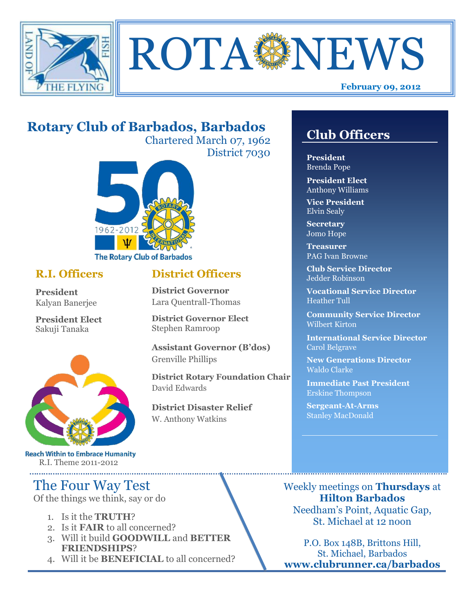



# **Rotary Club of Barbados, Barbados**

Chartered March 07, 1962 District 7030



### **R.I. Officers**

**President**  Kalyan Banerjee

**President Elect** Sakuji Tanaka



**Reach Within to Embrace Humanity** R.I. Theme 2011-2012

## The Four Way Test

Of the things we think, say or do

- 1. Is it the **TRUTH**?
- 2. Is it **FAIR** to all concerned?
- 3. Will it build **GOODWILL** and **BETTER FRIENDSHIPS**?
- 4. Will it be **BENEFICIAL** to all concerned?

## **Club Officers**

**Club Officers** 

**President** Brenda Pope

**President Elect** Anthony Williams

**Vice President** Elvin Sealy

**Secretary** Jomo Hope

**Treasurer** PAG Ivan Browne

**Club Service Director** Jedder Robinson

**Vocational Service Director** Heather Tull

**Community Service Director** Wilbert Kirton

**International Service Director** Carol Belgrave

**New Generations Director** Waldo Clarke

**Immediate Past President** Erskine Thompson

**Sergeant-At-Arms** Stanley MacDonald

Weekly meetings on **Thursdays** at **Hilton Barbados** Needham's Point, Aquatic Gap, St. Michael at 12 noon

P.O. Box 148B, Brittons Hill, St. Michael, Barbados **www.clubrunner.ca/barbados**

### **District Officers**

**District Governor** Lara Quentrall-Thomas

**District Governor Elect** Stephen Ramroop

**Assistant Governor (B'dos)** Grenville Phillips

**District Rotary Foundation Chair** David Edwards

**District Disaster Relief** W. Anthony Watkins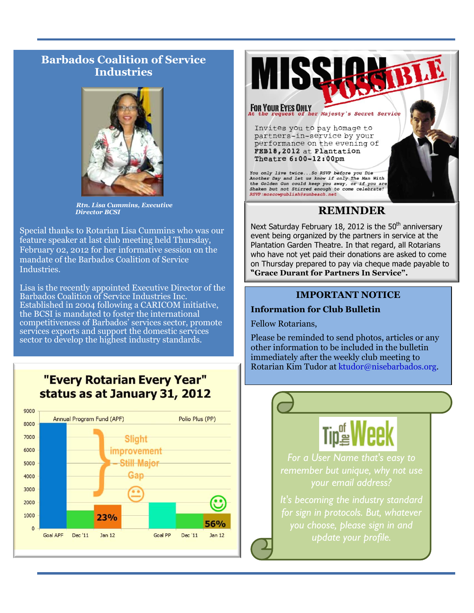### **Barbados Coalition of Service Industries**



*Rtn. Lisa Cummins, Executive Director BCSI*

Special thanks to Rotarian Lisa Cummins who was our feature speaker at last club meeting held Thursday, February 02, 2012 for her informative session on the mandate of the Barbados Coalition of Service Industries.

Lisa is the recently appointed Executive Director of the Barbados Coalition of Service Industries Inc. Established in 2004 following a CARICOM initiative, the BCSI is mandated to foster the international competitiveness of Barbados' services sector, promote services exports and support the domestic services sector to develop the highest industry standards.

"Every Rotarian Every Year" status as at January 31, 2012





#### **REMINDER**

Next Saturday February 18, 2012 is the  $50<sup>th</sup>$  anniversary event being organized by the partners in service at the Plantation Garden Theatre. In that regard, all Rotarians who have not yet paid their donations are asked to come on Thursday prepared to pay via cheque made payable to **"Grace Durant for Partners In Service".**

#### **IMPORTANT NOTICE**

#### **Information for Club Bulletin**

Fellow Rotarians,

Please be reminded to send photos, articles or any other information to be included in the bulletin immediately after the weekly club meeting to Rotarian Kim Tudor at [ktudor@nisebarbados.org.](mailto:ktudor@nisebarbados.org)

*For a User Name that's easy to* 

*your email address?* 

*It's becoming the industry standard for sign in protocols. But, whatever you choose, please sign in and update your profile.*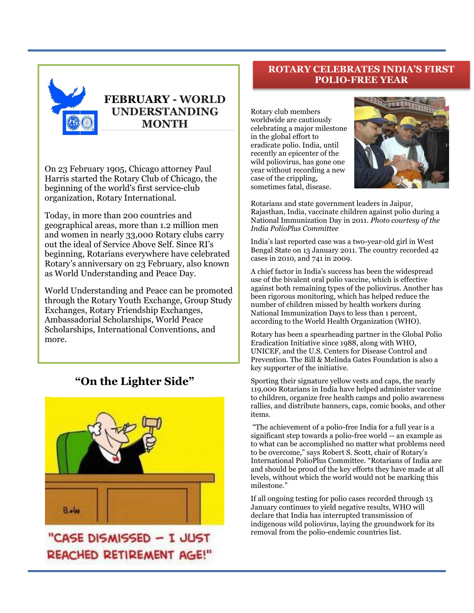

## **FEBRUARY - WORLD UNDERSTANDING MONTH**

On 23 February 1905, Chicago attorney Paul Harris started the Rotary Club of Chicago, the beginning of the world's first service-club organization, Rotary International.

Today, in more than 200 countries and geographical areas, more than 1.2 million men and women in nearly 33,000 Rotary clubs carry out the ideal of Service Above Self. Since RI's beginning, Rotarians everywhere have celebrated Rotary's anniversary on 23 February, also known as World Understanding and Peace Day.

World Understanding and Peace can be promoted through the Rotary Youth Exchange, Group Study Exchanges, Rotary Friendship Exchanges, Ambassadorial Scholarships, World Peace Scholarships, International Conventions, and more.

#### **"On the Lighter Side"**



"CASE DISMISSED - I JUST REACHED RETIREMENT AGE!"

#### **ROTARY CELEBRATES INDIA'S FIRST POLIO-FREE YEAR**

Rotary club members worldwide are cautiously celebrating a major milestone in the global effort to eradicate polio. India, until recently an epicenter of the wild poliovirus, has gone one year without recording a new case of the crippling, sometimes fatal, disease.



Rotarians and state government leaders in Jaipur, Rajasthan, India, vaccinate children against polio during a National Immunization Day in 2011. *Photo courtesy of the India PolioPlus Committee* 

India's last reported case was a two-year-old girl in West Bengal State on 13 January 2011. The country recorded 42 cases in 2010, and 741 in 2009.

A chief factor in India's success has been the widespread use of the bivalent oral polio vaccine, which is effective against both remaining types of the poliovirus. Another has been rigorous monitoring, which has helped reduce the number of children missed by health workers during National Immunization Days to less than 1 percent, according to the World Health Organization (WHO).

Rotary has been a spearheading partner in the [Global Polio](http://www.polioeradication.org/)  [Eradication Initiative](http://www.polioeradication.org/) since 1988, along with WHO, UNICEF, and the U.S. Centers for Disease Control and Prevention. The Bill & Melinda Gates Foundation is also a key supporter of the initiative.

Sporting their signature yellow vests and caps, the nearly 119,000 Rotarians in India have helped administer vaccine to children, organize free health camps and polio awareness rallies, and distribute banners, caps, comic books, and other items.

"The achievement of a polio-free India for a full year is a significant step towards a polio-free world -- an example as to what can be accomplished no matter what problems need to be overcome," says Robert S. Scott, chair of Rotary's International PolioPlus Committee. "Rotarians of India are and should be proud of the key efforts they have made at all levels, without which the world would not be marking this milestone."

If all ongoing testing for polio cases recorded through 13 January continues to yield negative results, WHO will declare that India has interrupted transmission of indigenous wild poliovirus, laying the groundwork for its removal from the polio-endemic countries list.